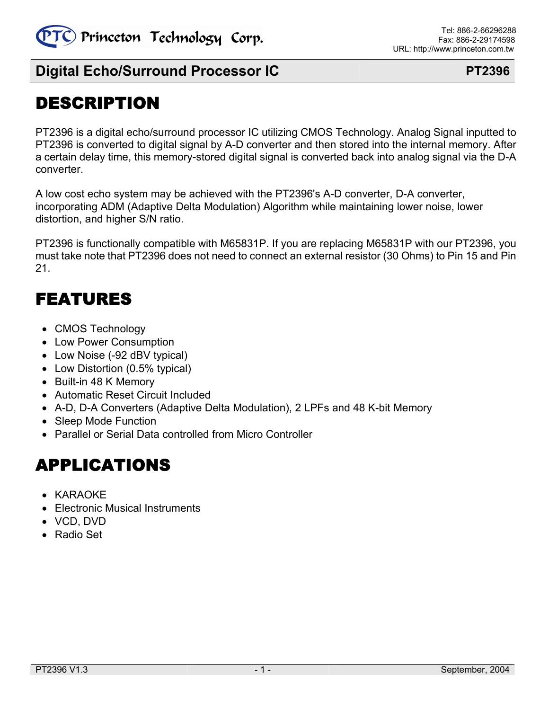

# DESCRIPTION

PT2396 is a digital echo/surround processor IC utilizing CMOS Technology. Analog Signal inputted to PT2396 is converted to digital signal by A-D converter and then stored into the internal memory. After a certain delay time, this memory-stored digital signal is converted back into analog signal via the D-A converter.

A low cost echo system may be achieved with the PT2396's A-D converter, D-A converter, incorporating ADM (Adaptive Delta Modulation) Algorithm while maintaining lower noise, lower distortion, and higher S/N ratio.

PT2396 is functionally compatible with M65831P. If you are replacing M65831P with our PT2396, you must take note that PT2396 does not need to connect an external resistor (30 Ohms) to Pin 15 and Pin 21.

# FEATURES

- CMOS Technology
- Low Power Consumption
- Low Noise (-92 dBV typical)
- Low Distortion (0.5% typical)
- Built-in 48 K Memory
- Automatic Reset Circuit Included
- A-D, D-A Converters (Adaptive Delta Modulation), 2 LPFs and 48 K-bit Memory
- Sleep Mode Function
- Parallel or Serial Data controlled from Micro Controller

# APPLICATIONS

- KARAOKE
- Electronic Musical Instruments
- VCD, DVD
- Radio Set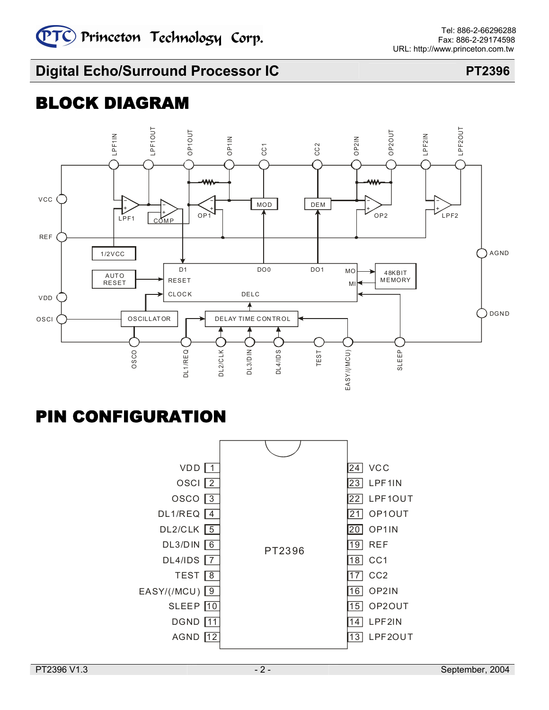# BLOCK DIAGRAM



# PIN CONFIGURATION

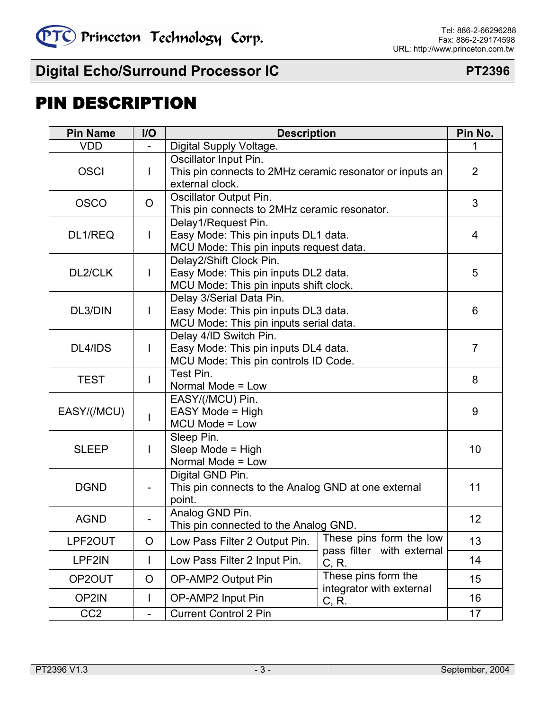# PIN DESCRIPTION

| <b>Pin Name</b> | I/O                      | <b>Description</b>                                                                                         | Pin No.                                                                         |                |  |
|-----------------|--------------------------|------------------------------------------------------------------------------------------------------------|---------------------------------------------------------------------------------|----------------|--|
| <b>VDD</b>      |                          | Digital Supply Voltage.                                                                                    |                                                                                 | 1              |  |
| <b>OSCI</b>     | I                        | Oscillator Input Pin.<br>This pin connects to 2MHz ceramic resonator or inputs an<br>external clock.       |                                                                                 | $\overline{2}$ |  |
| <b>OSCO</b>     | $\circ$                  | Oscillator Output Pin.                                                                                     | This pin connects to 2MHz ceramic resonator.                                    |                |  |
| DL1/REQ         | $\mathsf{l}$             | Delay1/Request Pin.                                                                                        | Easy Mode: This pin inputs DL1 data.<br>MCU Mode: This pin inputs request data. |                |  |
| DL2/CLK         | I                        | Delay2/Shift Clock Pin.<br>Easy Mode: This pin inputs DL2 data.<br>MCU Mode: This pin inputs shift clock.  |                                                                                 | 5              |  |
| DL3/DIN         | I                        | Delay 3/Serial Data Pin.<br>Easy Mode: This pin inputs DL3 data.<br>MCU Mode: This pin inputs serial data. |                                                                                 | 6              |  |
| DL4/IDS         | I                        | Delay 4/ID Switch Pin.<br>Easy Mode: This pin inputs DL4 data.<br>MCU Mode: This pin controls ID Code.     | 7                                                                               |                |  |
| <b>TEST</b>     | I                        | Test Pin.<br>Normal Mode = Low                                                                             | 8                                                                               |                |  |
| EASY/(/MCU)     | I                        | EASY/(/MCU) Pin.<br>EASY Mode = High<br>MCU Mode = Low                                                     | 9                                                                               |                |  |
| <b>SLEEP</b>    | I                        | Sleep Pin.<br>Sleep Mode = High<br>Normal Mode = Low                                                       |                                                                                 | 10             |  |
| <b>DGND</b>     |                          | Digital GND Pin.<br>This pin connects to the Analog GND at one external<br>point.                          |                                                                                 | 11             |  |
| <b>AGND</b>     |                          | Analog GND Pin.<br>This pin connected to the Analog GND.                                                   |                                                                                 | 12             |  |
| LPF2OUT         | O                        | Low Pass Filter 2 Output Pin.                                                                              | These pins form the low                                                         | 13             |  |
| LPF2IN          | L                        | Low Pass Filter 2 Input Pin.                                                                               | pass filter with external<br>C, R.                                              | 14             |  |
| OP2OUT          | O                        | OP-AMP2 Output Pin                                                                                         | These pins form the<br>integrator with external                                 | 15             |  |
| OP2IN           | I                        | OP-AMP2 Input Pin                                                                                          | C, R.                                                                           | 16             |  |
| CC <sub>2</sub> | $\overline{\phantom{0}}$ | <b>Current Control 2 Pin</b>                                                                               |                                                                                 |                |  |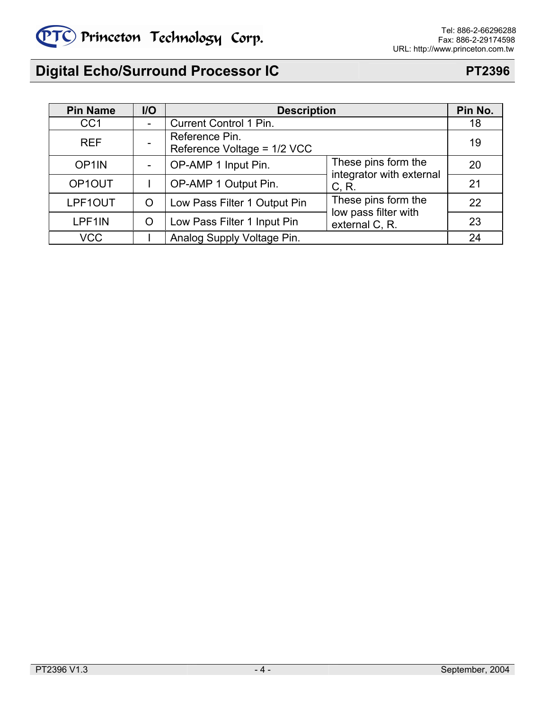

| <b>Pin Name</b>    | $II$                         | <b>Description</b>                                                    | Pin No.                                         |    |
|--------------------|------------------------------|-----------------------------------------------------------------------|-------------------------------------------------|----|
| CC <sub>1</sub>    | $\qquad \qquad \blacksquare$ | <b>Current Control 1 Pin.</b>                                         |                                                 | 18 |
| <b>REF</b>         |                              | Reference Pin.<br>Reference Voltage = 1/2 VCC                         |                                                 | 19 |
| OP <sub>1</sub> IN | -                            | OP-AMP 1 Input Pin.                                                   | These pins form the<br>integrator with external | 20 |
| OP1OUT             |                              | OP-AMP 1 Output Pin.                                                  | C, R.                                           | 21 |
| LPF1OUT            | O                            | Low Pass Filter 1 Output Pin                                          | These pins form the                             | 22 |
| LPF1IN             | O                            | low pass filter with<br>Low Pass Filter 1 Input Pin<br>external C, R. |                                                 | 23 |
| <b>VCC</b>         |                              | Analog Supply Voltage Pin.                                            |                                                 | 24 |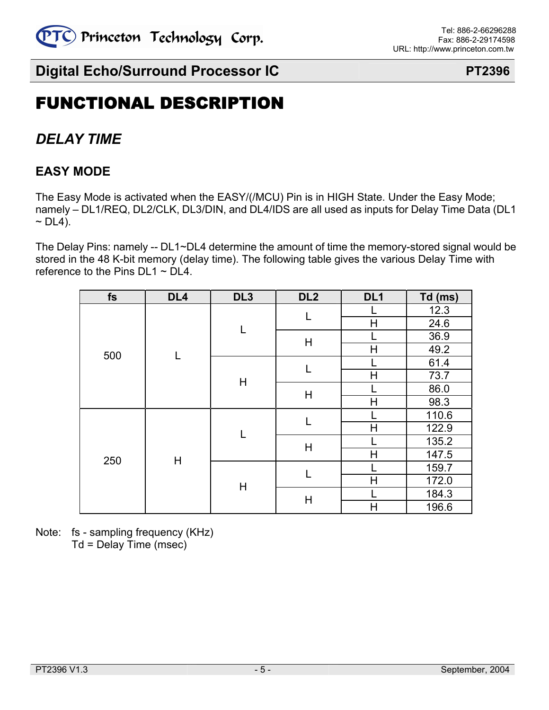

# FUNCTIONAL DESCRIPTION

# *DELAY TIME*

### **EASY MODE**

The Easy Mode is activated when the EASY/(/MCU) Pin is in HIGH State. Under the Easy Mode; namely – DL1/REQ, DL2/CLK, DL3/DIN, and DL4/IDS are all used as inputs for Delay Time Data (DL1  $\sim$  DL4).

The Delay Pins: namely -- DL1~DL4 determine the amount of time the memory-stored signal would be stored in the 48 K-bit memory (delay time). The following table gives the various Delay Time with reference to the Pins  $DL1 \sim DL4$ .

| fs  | DL <sub>4</sub> | DL <sub>3</sub> | DL <sub>2</sub>              | DL <sub>1</sub>              | Td (ms) |  |
|-----|-----------------|-----------------|------------------------------|------------------------------|---------|--|
|     |                 |                 |                              |                              | 12.3    |  |
|     |                 |                 |                              | H                            | 24.6    |  |
|     |                 |                 | $\mathsf{H}$                 |                              | 36.9    |  |
|     | L               |                 |                              | $\overline{\mathsf{H}}$      | 49.2    |  |
| 500 |                 |                 |                              | 61.4<br>73.7<br>$\mathsf{H}$ |         |  |
|     |                 | Η               |                              |                              |         |  |
|     |                 |                 | $\mathsf{H}$                 |                              | 86.0    |  |
|     |                 |                 |                              | H                            | 98.3    |  |
|     |                 |                 | L<br>$\overline{\mathsf{H}}$ |                              | 110.6   |  |
|     |                 | L               |                              | 122.9                        |         |  |
|     |                 | H               |                              |                              | 135.2   |  |
| 250 | $\mathsf{H}$    |                 |                              | $\overline{\mathsf{H}}$      | 147.5   |  |
|     |                 |                 | L                            |                              | 159.7   |  |
|     |                 | Н               |                              | H                            | 172.0   |  |
|     |                 |                 | $\mathsf{H}$                 |                              | 184.3   |  |
|     |                 |                 |                              | $\mathsf{H}$                 | 196.6   |  |

Note: fs - sampling frequency (KHz) Td = Delay Time (msec)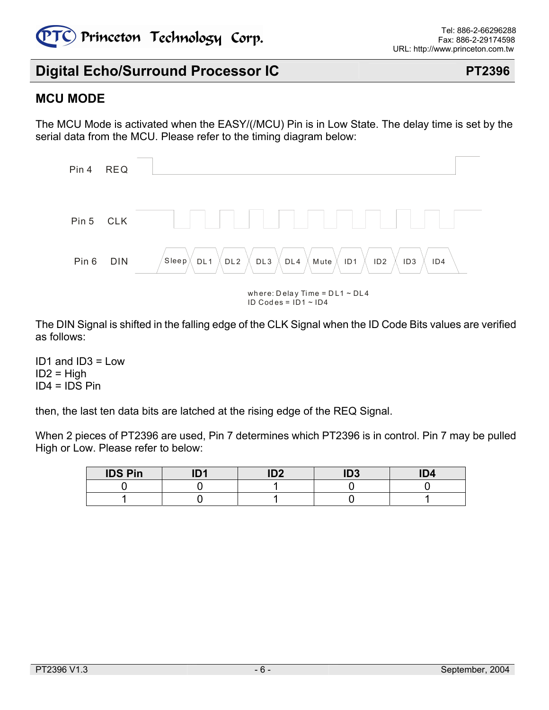

### **MCU MODE**

The MCU Mode is activated when the EASY/(/MCU) Pin is in Low State. The delay time is set by the serial data from the MCU. Please refer to the timing diagram below:



The DIN Signal is shifted in the falling edge of the CLK Signal when the ID Code Bits values are verified as follows:

ID1 and ID3 = Low  $ID2 = High$  $ID4 = IDS P$ in

then, the last ten data bits are latched at the rising edge of the REQ Signal.

When 2 pieces of PT2396 are used, Pin 7 determines which PT2396 is in control. Pin 7 may be pulled High or Low. Please refer to below:

| <b>IDS Pin</b> | IN4 | ID <sub>2</sub> | ID <sub>3</sub> | ID4 |
|----------------|-----|-----------------|-----------------|-----|
|                |     |                 |                 |     |
|                |     |                 |                 |     |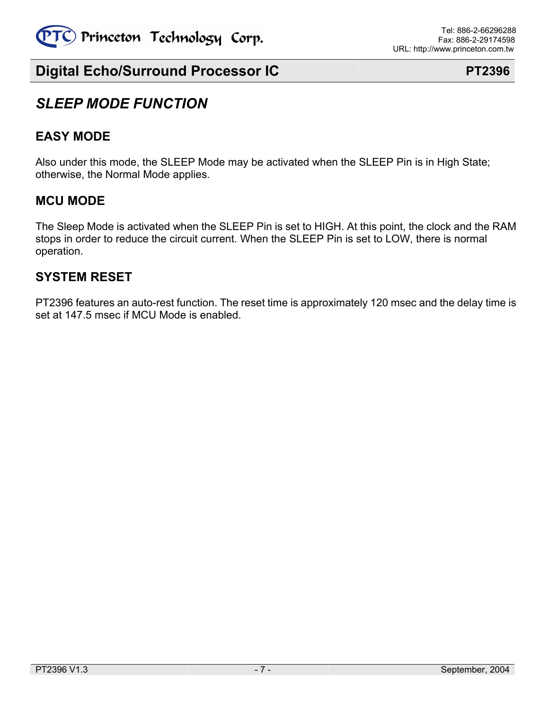

## *SLEEP MODE FUNCTION*

### **EASY MODE**

Also under this mode, the SLEEP Mode may be activated when the SLEEP Pin is in High State; otherwise, the Normal Mode applies.

### **MCU MODE**

The Sleep Mode is activated when the SLEEP Pin is set to HIGH. At this point, the clock and the RAM stops in order to reduce the circuit current. When the SLEEP Pin is set to LOW, there is normal operation.

### **SYSTEM RESET**

PT2396 features an auto-rest function. The reset time is approximately 120 msec and the delay time is set at 147.5 msec if MCU Mode is enabled.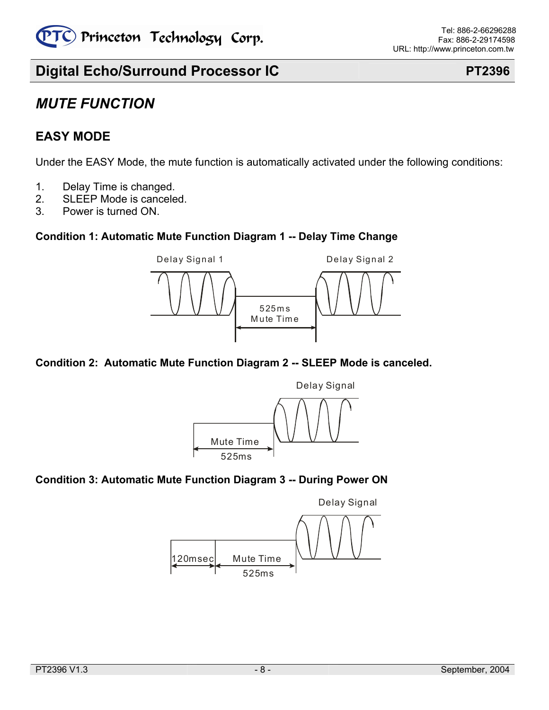

## *MUTE FUNCTION*

### **EASY MODE**

Under the EASY Mode, the mute function is automatically activated under the following conditions:

- 1. Delay Time is changed.
- 2. SLEEP Mode is canceled.
- 3. Power is turned ON.

### **Condition 1: Automatic Mute Function Diagram 1 -- Delay Time Change**



### **Condition 2: Automatic Mute Function Diagram 2 -- SLEEP Mode is canceled.**



### **Condition 3: Automatic Mute Function Diagram 3 -- During Power ON**

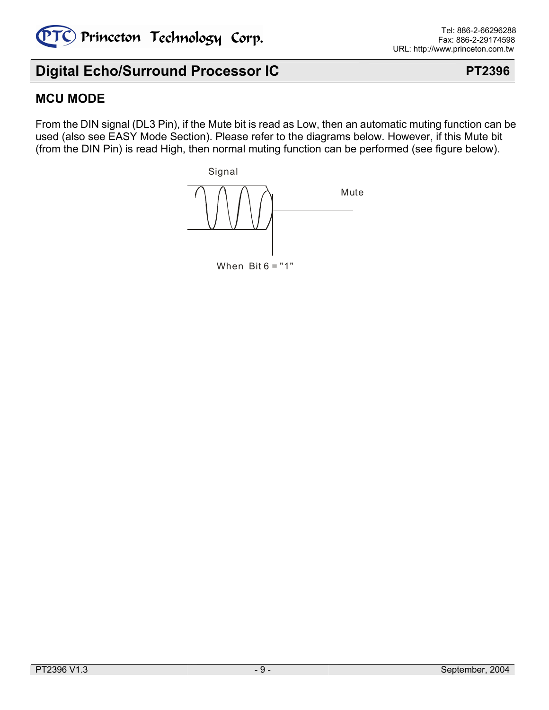

### **MCU MODE**

From the DIN signal (DL3 Pin), if the Mute bit is read as Low, then an automatic muting function can be used (also see EASY Mode Section). Please refer to the diagrams below. However, if this Mute bit (from the DIN Pin) is read High, then normal muting function can be performed (see figure below).



When  $Bit 6 = "1"$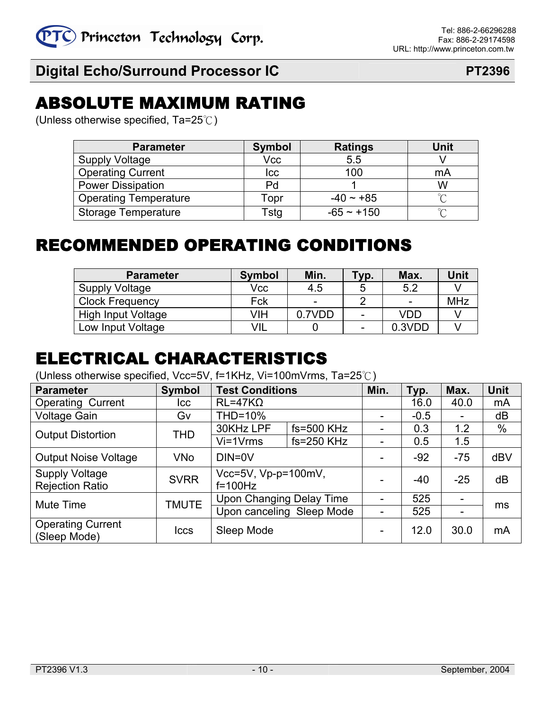# ABSOLUTE MAXIMUM RATING

(Unless otherwise specified, Ta=25℃)

| <b>Parameter</b>             | <b>Symbol</b> | <b>Ratings</b> | Unit   |
|------------------------------|---------------|----------------|--------|
| <b>Supply Voltage</b>        | Vcc           | 5.5            |        |
| <b>Operating Current</b>     | <b>Icc</b>    | 100            | mA     |
| <b>Power Dissipation</b>     | Pd            |                | W      |
| <b>Operating Temperature</b> | Topr          | $-40 \sim +85$ | $\sim$ |
| <b>Storage Temperature</b>   | Tstg          | $-65 - +150$   | $\sim$ |

# RECOMMENDED OPERATING CONDITIONS

| <b>Parameter</b>       | <b>Symbol</b> | Min.   | $\mathsf{Y}$ p.          | Max.   | Unit       |
|------------------------|---------------|--------|--------------------------|--------|------------|
| Supply Voltage         | Vcc           | 4.5    | ხ                        | 5.2    |            |
| <b>Clock Frequency</b> | Fck           | -      |                          | -      | <b>MHz</b> |
| High Input Voltage     | VIH           | 0.7VDD | $\overline{\phantom{0}}$ | VDD    |            |
| Low Input Voltage      | VIL           |        | $\overline{\phantom{0}}$ | 0.3VDD |            |

# ELECTRICAL CHARACTERISTICS

(Unless otherwise specified, Vcc=5V, f=1KHz, Vi=100mVrms, Ta=25℃)

| <b>Parameter</b>                                | <b>Symbol</b> | <b>Test Conditions</b>               |                | Min.                     | Typ.   | Max.                     | <b>Unit</b> |
|-------------------------------------------------|---------------|--------------------------------------|----------------|--------------------------|--------|--------------------------|-------------|
| <b>Operating Current</b>                        | Icc           | $RL=47K\Omega$                       |                |                          | 16.0   | 40.0                     | mA          |
| <b>Voltage Gain</b>                             | G۷            | THD=10%                              |                | Ξ.                       | $-0.5$ | $\overline{\phantom{0}}$ | dB          |
| <b>Output Distortion</b>                        | THD           | 30KHz LPF                            | $fs = 500$ KHz | ۰                        | 0.3    | 1.2                      | %           |
|                                                 |               | $Vi=1Vrms$                           | $fs = 250$ KHz |                          | 0.5    | 1.5                      |             |
| <b>Output Noise Voltage</b>                     | <b>VNo</b>    | DIN=0V                               |                | -                        | $-92$  | $-75$                    | dBV         |
| <b>Supply Voltage</b><br><b>Rejection Ratio</b> | <b>SVRR</b>   | Vcc=5V, $Vp-p=100mV$ ,<br>$f=100$ Hz |                |                          | $-40$  | $-25$                    | dB          |
| Mute Time                                       | <b>TMUTE</b>  | Upon Changing Delay Time             |                | $\overline{\phantom{0}}$ | 525    | $\blacksquare$           | ms          |
|                                                 |               | Upon canceling Sleep Mode            |                | Ξ.                       | 525    | $\overline{\phantom{0}}$ |             |
| <b>Operating Current</b><br>(Sleep Mode)        | <b>Iccs</b>   | Sleep Mode                           |                | -                        | 12.0   | 30.0                     | mA          |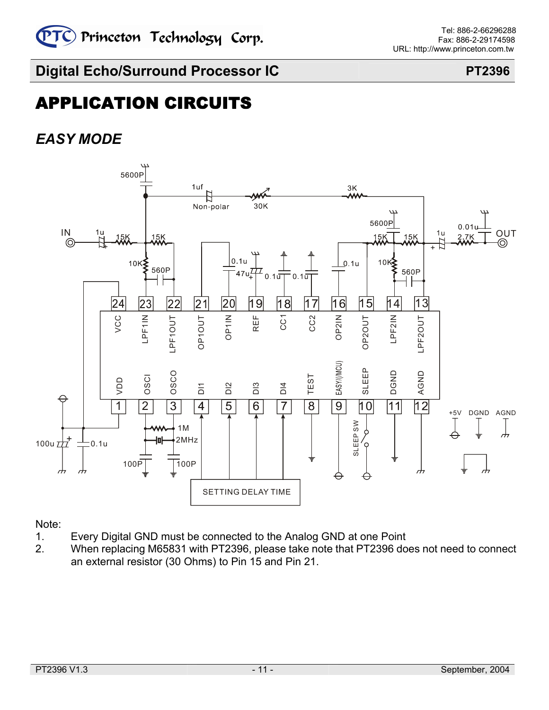# APPLICATION CIRCUITS

# *EASY MODE*



Note:

- 1. Every Digital GND must be connected to the Analog GND at one Point
- 2. When replacing M65831 with PT2396, please take note that PT2396 does not need to connect an external resistor (30 Ohms) to Pin 15 and Pin 21.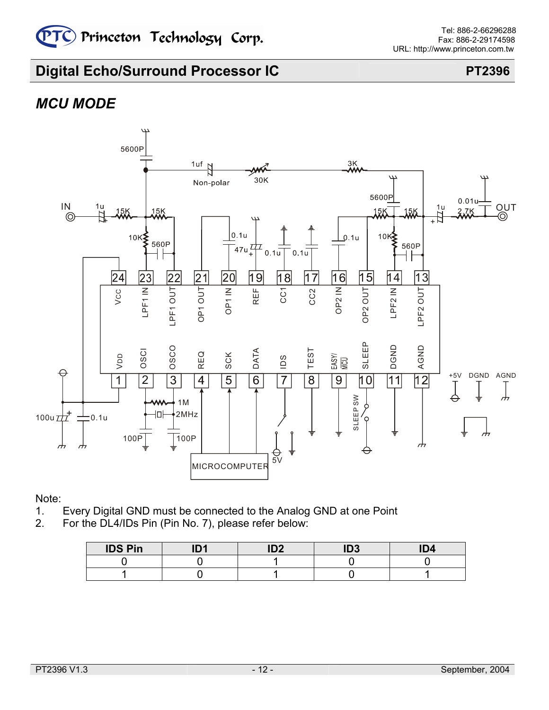# *MCU MODE*



Note:

- 1. Every Digital GND must be connected to the Analog GND at one Point
- 2. For the DL4/IDs Pin (Pin No. 7), please refer below:

| <b>IDS Pin</b> | I <sub>D</sub> | IDO | ID <sub>3</sub> | ID4 |
|----------------|----------------|-----|-----------------|-----|
|                |                |     |                 |     |
|                |                |     |                 |     |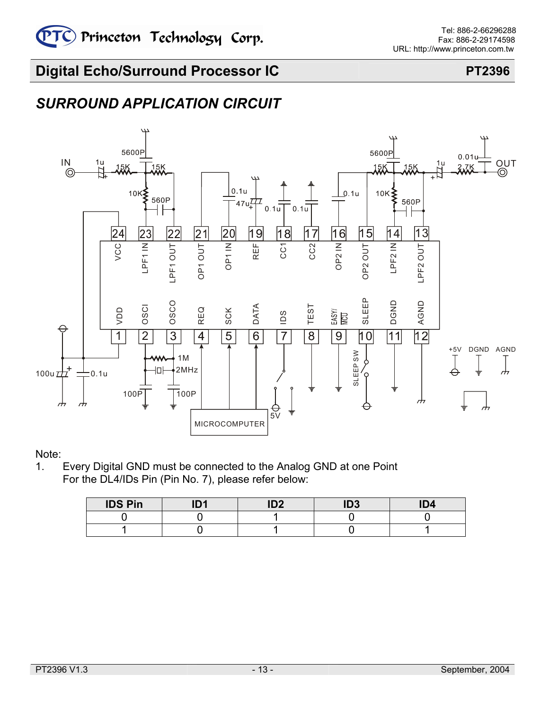# *SURROUND APPLICATION CIRCUIT*

![](_page_12_Figure_4.jpeg)

### Note:

1. Every Digital GND must be connected to the Analog GND at one Point For the DL4/IDs Pin (Pin No. 7), please refer below:

| <b>IDS Pin</b> | IN4 | ID <sub>2</sub> | ID <sub>3</sub> | ID <sub>4</sub> |
|----------------|-----|-----------------|-----------------|-----------------|
|                |     |                 |                 |                 |
|                |     |                 |                 |                 |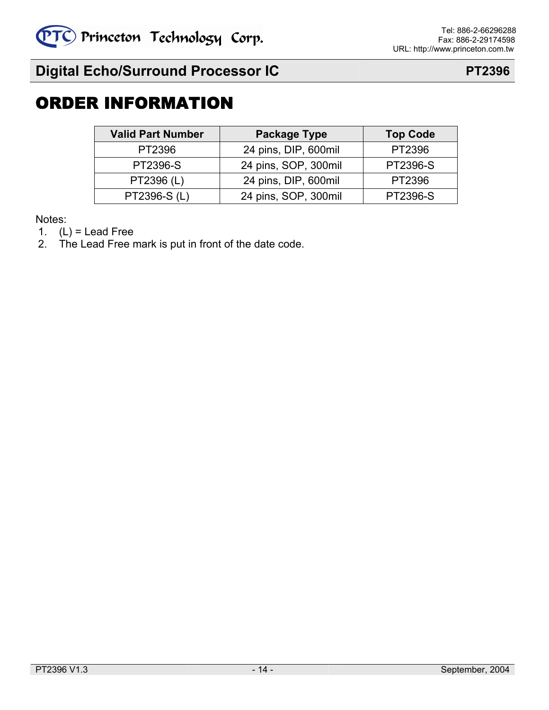# ORDER INFORMATION

| <b>Valid Part Number</b> | Package Type         | <b>Top Code</b> |
|--------------------------|----------------------|-----------------|
| PT2396                   | 24 pins, DIP, 600mil | PT2396          |
| <b>PT2396-S</b>          | 24 pins, SOP, 300mil | PT2396-S        |
| PT2396 (L)               | 24 pins, DIP, 600mil | PT2396          |
| PT2396-S (L)             | 24 pins, SOP, 300mil | PT2396-S        |

Notes:

1.  $(L) =$  Lead Free

2. The Lead Free mark is put in front of the date code.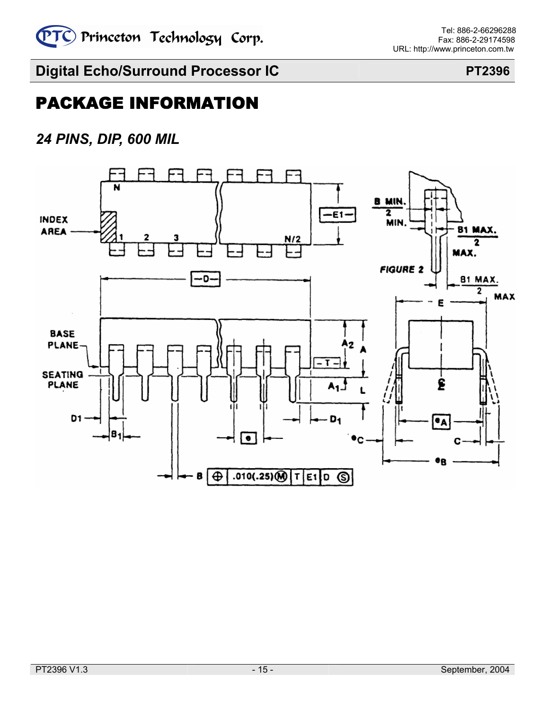![](_page_14_Picture_0.jpeg)

# PACKAGE INFORMATION

# *24 PINS, DIP, 600 MIL*

![](_page_14_Figure_6.jpeg)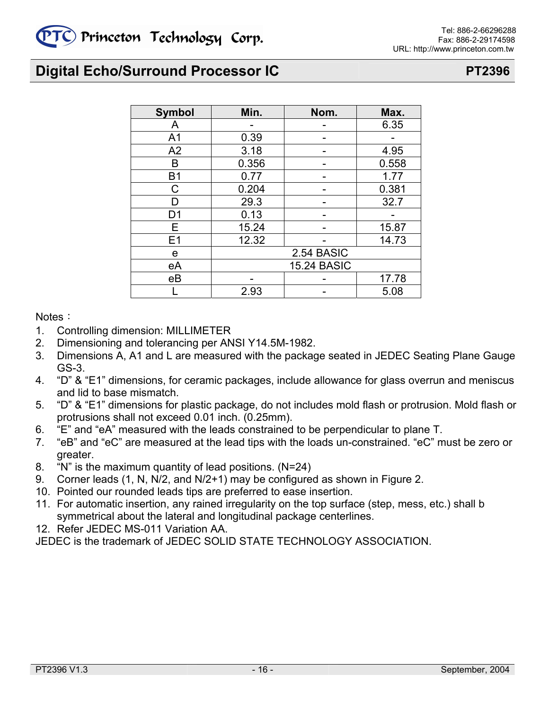| <b>Symbol</b>  | Min.  | Nom.               | Max.  |
|----------------|-------|--------------------|-------|
| A              |       |                    | 6.35  |
| A <sub>1</sub> | 0.39  |                    |       |
| A2             | 3.18  |                    | 4.95  |
| в              | 0.356 |                    | 0.558 |
| <b>B1</b>      | 0.77  |                    | 1.77  |
| С              | 0.204 |                    | 0.381 |
|                | 29.3  |                    | 32.7  |
| D1             | 0.13  |                    |       |
| Е              | 15.24 |                    | 15.87 |
| E <sub>1</sub> | 12.32 |                    | 14.73 |
| e              |       | 2.54 BASIC         |       |
| eA             |       | <b>15.24 BASIC</b> |       |
| eB             |       |                    | 17.78 |
|                | 2.93  |                    | 5.08  |

### Notes:

- 1. Controlling dimension: MILLIMETER
- 2. Dimensioning and tolerancing per ANSI Y14.5M-1982.
- 3. Dimensions A, A1 and L are measured with the package seated in JEDEC Seating Plane Gauge GS-3.
- 4. "D" & "E1" dimensions, for ceramic packages, include allowance for glass overrun and meniscus and lid to base mismatch.
- 5. "D" & "E1" dimensions for plastic package, do not includes mold flash or protrusion. Mold flash or protrusions shall not exceed 0.01 inch. (0.25mm).
- 6. "E" and "eA" measured with the leads constrained to be perpendicular to plane T.
- 7. "eB" and "eC" are measured at the lead tips with the loads un-constrained. "eC" must be zero or greater.
- 8. "N" is the maximum quantity of lead positions. (N=24)
- 9. Corner leads (1, N, N/2, and N/2+1) may be configured as shown in Figure 2.
- 10. Pointed our rounded leads tips are preferred to ease insertion.
- 11. For automatic insertion, any rained irregularity on the top surface (step, mess, etc.) shall b symmetrical about the lateral and longitudinal package centerlines.
- 12. Refer JEDEC MS-011 Variation AA.

JEDEC is the trademark of JEDEC SOLID STATE TECHNOLOGY ASSOCIATION.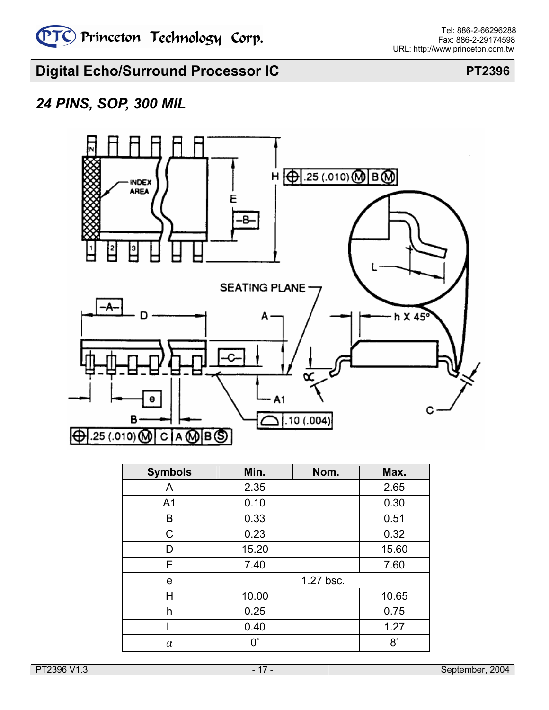# *24 PINS, SOP, 300 MIL*

![](_page_16_Figure_5.jpeg)

| <b>Symbols</b> | Min.        | Nom.      | Max.      |
|----------------|-------------|-----------|-----------|
| A              | 2.35        |           | 2.65      |
| A <sub>1</sub> | 0.10        |           | 0.30      |
| B              | 0.33        |           | 0.51      |
| C              | 0.23        |           | 0.32      |
| D              | 15.20       |           | 15.60     |
| Е              | 7.40        |           | 7.60      |
| е              |             | 1.27 bsc. |           |
| Н              | 10.00       |           | 10.65     |
| h              | 0.25        |           | 0.75      |
|                | 0.40        |           | 1.27      |
| α              | $0^{\circ}$ |           | $8^\circ$ |